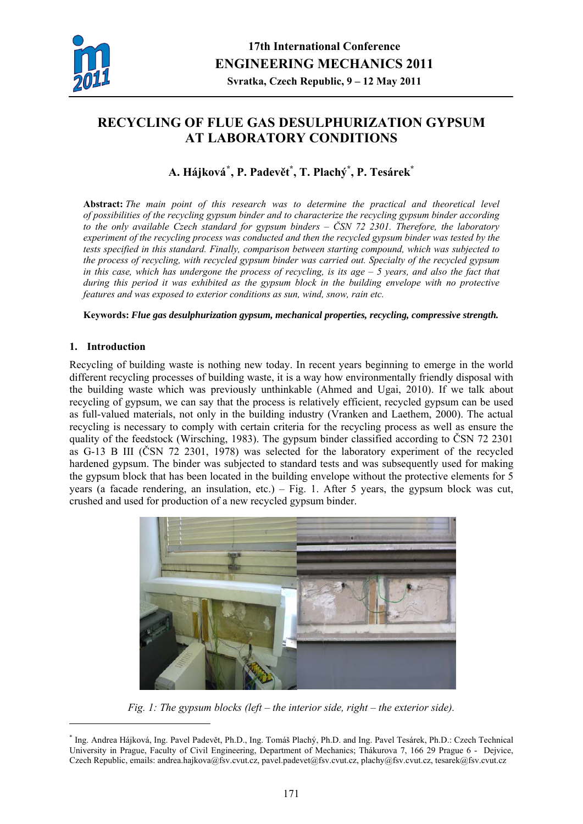

# **RECYCLING OF FLUE GAS DESULPHURIZATION GYPSUM AT LABORATORY CONDITIONS**

## **A. Hájková[\\*](#page-0-0) , P. Padevět \* , T. Plachý\* , P. Tesárek\***

**Abstract:** *The main point of this research was to determine the practical and theoretical level of possibilities of the recycling gypsum binder and to characterize the recycling gypsum binder according to the only available Czech standard for gypsum binders – ČSN 72 2301. Therefore, the laboratory experiment of the recycling process was conducted and then the recycled gypsum binder was tested by the tests specified in this standard. Finally, comparison between starting compound, which was subjected to the process of recycling, with recycled gypsum binder was carried out. Specialty of the recycled gypsum in this case, which has undergone the process of recycling, is its age – 5 years, and also the fact that during this period it was exhibited as the gypsum block in the building envelope with no protective features and was exposed to exterior conditions as sun, wind, snow, rain etc.* 

#### **Keywords:** *Flue gas desulphurization gypsum, mechanical properties, recycling, compressive strength.*

## **1. Introduction**

1

Recycling of building waste is nothing new today. In recent years beginning to emerge in the world different recycling processes of building waste, it is a way how environmentally friendly disposal with the building waste which was previously unthinkable (Ahmed and Ugai, 2010). If we talk about recycling of gypsum, we can say that the process is relatively efficient, recycled gypsum can be used as full-valued materials, not only in the building industry (Vranken and Laethem, 2000). The actual recycling is necessary to comply with certain criteria for the recycling process as well as ensure the quality of the feedstock (Wirsching, 1983). The gypsum binder classified according to ČSN 72 2301 as G-13 B III (ČSN 72 2301, 1978) was selected for the laboratory experiment of the recycled hardened gypsum. The binder was subjected to standard tests and was subsequently used for making the gypsum block that has been located in the building envelope without the protective elements for 5 years (a facade rendering, an insulation, etc.) – Fig. 1. After 5 years, the gypsum block was cut, crushed and used for production of a new recycled gypsum binder.



*Fig. 1: The gypsum blocks (left – the interior side, right – the exterior side).* 

<span id="page-0-0"></span><sup>\*</sup> Ing. Andrea Hájková, Ing. Pavel Padevět, Ph.D., Ing. Tomáš Plachý, Ph.D. and Ing. Pavel Tesárek, Ph.D.: Czech Technical University in Prague, Faculty of Civil Engineering, Department of Mechanics; Thákurova 7, 166 29 Prague 6 - Dejvice, Czech Republic, emails: andrea.hajkova@fsv.cvut.cz, pavel.padevet@fsv.cvut.cz, plachy@fsv.cvut.cz, tesarek@fsv.cvut.cz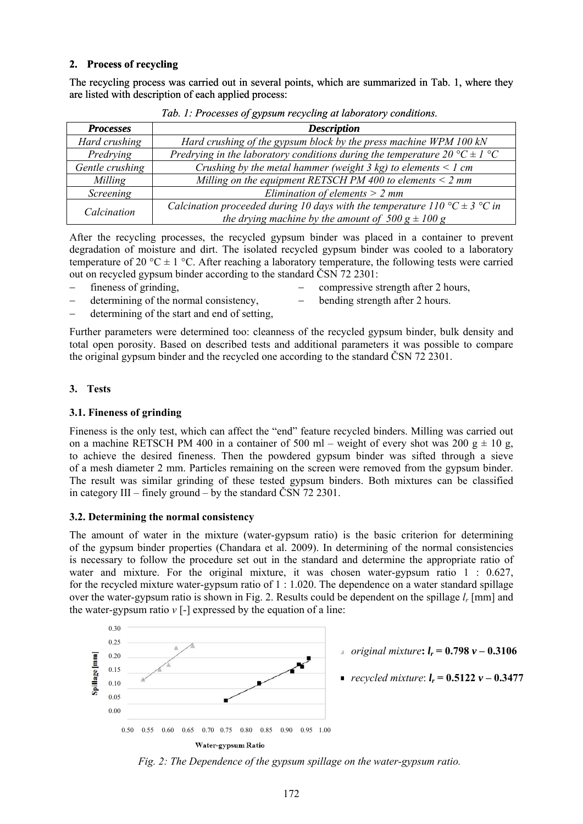## **2. Process of recycling**

The recycling process was carried out in several points, which are summarized in Tab. 1, where they are listed with description of each applied process:

| <b>Processes</b> | <b>Description</b>                                                             |  |  |  |
|------------------|--------------------------------------------------------------------------------|--|--|--|
| Hard crushing    | Hard crushing of the gypsum block by the press machine WPM 100 kN              |  |  |  |
| Predrying        | Predrying in the laboratory conditions during the temperature 20 °C $\pm$ 1 °C |  |  |  |
| Gentle crushing  | Crushing by the metal hammer (weight $3$ kg) to elements $\leq 1$ cm           |  |  |  |
| Milling          | Milling on the equipment RETSCH PM 400 to elements $\leq$ 2 mm                 |  |  |  |
| Screening        | Elimination of elements $> 2$ mm                                               |  |  |  |
| Calcination      | Calcination proceeded during 10 days with the temperature 110 °C $\pm$ 3 °C in |  |  |  |
|                  | the drying machine by the amount of $500 g \pm 100 g$                          |  |  |  |

*Tab. 1: Processes of gypsum recycling at laboratory conditions.* 

After the recycling processes, the recycled gypsum binder was placed in a container to prevent degradation of moisture and dirt. The isolated recycled gypsum binder was cooled to a laboratory temperature of 20 °C  $\pm$  1 °C. After reaching a laboratory temperature, the following tests were carried out on recycled gypsum binder according to the standard ČSN 72 2301:

- 
- determining of the normal consistency,  $−$  bending strength after 2 hours.
- − fineness of grinding,  $-$  compressive strength after 2 hours,
	-
- determining of the start and end of setting.

Further parameters were determined too: cleanness of the recycled gypsum binder, bulk density and total open porosity. Based on described tests and additional parameters it was possible to compare the original gypsum binder and the recycled one according to the standard ČSN 72 2301.

## **3. Tests**

#### **3.1. Fineness of grinding**

Fineness is the only test, which can affect the "end" feature recycled binders. Milling was carried out on a machine RETSCH PM 400 in a container of 500 ml – weight of every shot was 200  $g \pm 10 g$ , to achieve the desired fineness. Then the powdered gypsum binder was sifted through a sieve of a mesh diameter 2 mm. Particles remaining on the screen were removed from the gypsum binder. The result was similar grinding of these tested gypsum binders. Both mixtures can be classified in category III – finely ground – by the standard ČSN 72 2301.

#### **3.2. Determining the normal consistency**

The amount of water in the mixture (water-gypsum ratio) is the basic criterion for determining of the gypsum binder properties (Chandara et al. 2009). In determining of the normal consistencies is necessary to follow the procedure set out in the standard and determine the appropriate ratio of water and mixture. For the original mixture, it was chosen water-gypsum ratio 1 : 0.627, for the recycled mixture water-gypsum ratio of 1 : 1.020. The dependence on a water standard spillage over the water-gypsum ratio is shown in Fig. 2. Results could be dependent on the spillage *lr* [mm] and the water-gypsum ratio  $v$  [-] expressed by the equation of a line:



*Fig. 2: The Dependence of the gypsum spillage on the water-gypsum ratio.*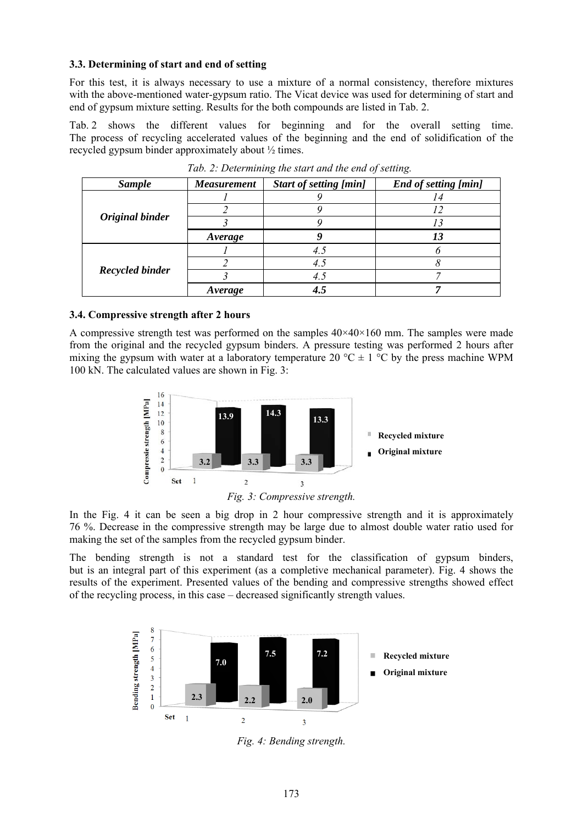#### **3.3. Determining of start and end of setting**

For this test, it is always necessary to use a mixture of a normal consistency, therefore mixtures with the above-mentioned water-gypsum ratio. The Vicat device was used for determining of start and end of gypsum mixture setting. Results for the both compounds are listed in Tab. 2.

Tab. 2 shows the different values for beginning and for the overall setting time. The process of recycling accelerated values of the beginning and the end of solidification of the recycled gypsum binder approximately about ½ times.

| <b>Sample</b>          | <b>Measurement</b> | <b>Start of setting [min]</b> | End of setting [min] |  |
|------------------------|--------------------|-------------------------------|----------------------|--|
|                        |                    |                               |                      |  |
|                        |                    |                               |                      |  |
| Original binder        |                    |                               |                      |  |
|                        | Average            |                               |                      |  |
|                        |                    | 4.5                           |                      |  |
|                        |                    |                               |                      |  |
| <b>Recycled binder</b> |                    |                               |                      |  |
|                        | <i>Average</i>     |                               |                      |  |

*Tab. 2: Determining the start and the end of setting.* 

## **3.4. Compressive strength after 2 hours**

A compressive strength test was performed on the samples  $40\times40\times160$  mm. The samples were made from the original and the recycled gypsum binders. A pressure testing was performed 2 hours after mixing the gypsum with water at a laboratory temperature 20  $^{\circ}C \pm 1$   $^{\circ}C$  by the press machine WPM 100 kN. The calculated values are shown in Fig. 3:





In the Fig. 4 it can be seen a big drop in 2 hour compressive strength and it is approximately 76 %. Decrease in the compressive strength may be large due to almost double water ratio used for making the set of the samples from the recycled gypsum binder.

The bending strength is not a standard test for the classification of gypsum binders, but is an integral part of this experiment (as a completive mechanical parameter). Fig. 4 shows the results of the experiment. Presented values of the bending and compressive strengths showed effect of the recycling process, in this case – decreased significantly strength values.



*Fig. 4: Bending strength.*